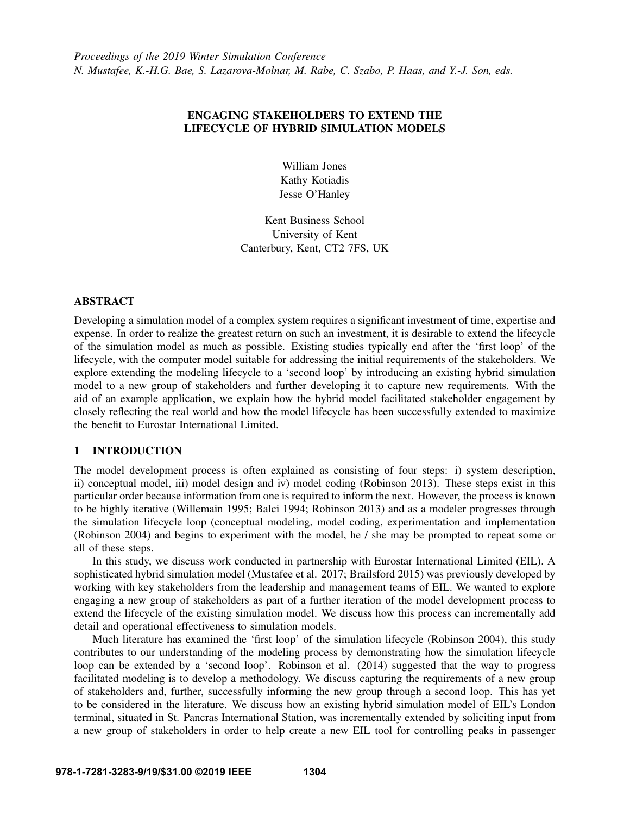# ENGAGING STAKEHOLDERS TO EXTEND THE LIFECYCLE OF HYBRID SIMULATION MODELS

William Jones Kathy Kotiadis Jesse O'Hanley

Kent Business School University of Kent Canterbury, Kent, CT2 7FS, UK

## ABSTRACT

Developing a simulation model of a complex system requires a significant investment of time, expertise and expense. In order to realize the greatest return on such an investment, it is desirable to extend the lifecycle of the simulation model as much as possible. Existing studies typically end after the 'first loop' of the lifecycle, with the computer model suitable for addressing the initial requirements of the stakeholders. We explore extending the modeling lifecycle to a 'second loop' by introducing an existing hybrid simulation model to a new group of stakeholders and further developing it to capture new requirements. With the aid of an example application, we explain how the hybrid model facilitated stakeholder engagement by closely reflecting the real world and how the model lifecycle has been successfully extended to maximize the benefit to Eurostar International Limited.

# 1 INTRODUCTION

The model development process is often explained as consisting of four steps: i) system description, ii) conceptual model, iii) model design and iv) model coding [\(Robinson 2013\)](#page-10-0). These steps exist in this particular order because information from one is required to inform the next. However, the process is known to be highly iterative [\(Willemain 1995;](#page-10-1) [Balci 1994;](#page-9-0) [Robinson 2013\)](#page-10-0) and as a modeler progresses through the simulation lifecycle loop (conceptual modeling, model coding, experimentation and implementation [\(Robinson 2004\)](#page-10-2) and begins to experiment with the model, he / she may be prompted to repeat some or all of these steps.

In this study, we discuss work conducted in partnership with Eurostar International Limited (EIL). A sophisticated hybrid simulation model [\(Mustafee et al. 2017;](#page-10-3) [Brailsford 2015\)](#page-9-1) was previously developed by working with key stakeholders from the leadership and management teams of EIL. We wanted to explore engaging a new group of stakeholders as part of a further iteration of the model development process to extend the lifecycle of the existing simulation model. We discuss how this process can incrementally add detail and operational effectiveness to simulation models.

Much literature has examined the 'first loop' of the simulation lifecycle [\(Robinson 2004\)](#page-10-2), this study contributes to our understanding of the modeling process by demonstrating how the simulation lifecycle loop can be extended by a 'second loop'. [Robinson et al. \(2014\)](#page-10-4) suggested that the way to progress facilitated modeling is to develop a methodology. We discuss capturing the requirements of a new group of stakeholders and, further, successfully informing the new group through a second loop. This has yet to be considered in the literature. We discuss how an existing hybrid simulation model of EIL's London terminal, situated in St. Pancras International Station, was incrementally extended by soliciting input from a new group of stakeholders in order to help create a new EIL tool for controlling peaks in passenger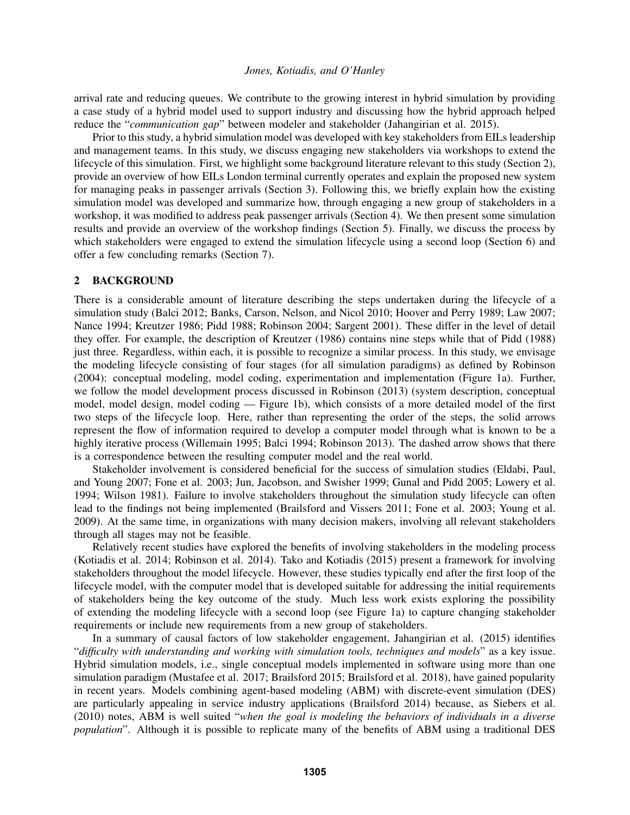arrival rate and reducing queues. We contribute to the growing interest in hybrid simulation by providing a case study of a hybrid model used to support industry and discussing how the hybrid approach helped reduce the "*communication gap*" between modeler and stakeholder [\(Jahangirian et al. 2015\)](#page-10-5).

Prior to this study, a hybrid simulation model was developed with key stakeholders from EILs leadership and management teams. In this study, we discuss engaging new stakeholders via workshops to extend the lifecycle of this simulation. First, we highlight some background literature relevant to this study (Section [2\)](#page-1-0), provide an overview of how EILs London terminal currently operates and explain the proposed new system for managing peaks in passenger arrivals (Section [3\)](#page-2-0). Following this, we briefly explain how the existing simulation model was developed and summarize how, through engaging a new group of stakeholders in a workshop, it was modified to address peak passenger arrivals (Section [4\)](#page-4-0). We then present some simulation results and provide an overview of the workshop findings (Section [5\)](#page-5-0). Finally, we discuss the process by which stakeholders were engaged to extend the simulation lifecycle using a second loop (Section [6\)](#page-7-0) and offer a few concluding remarks (Section [7\)](#page-9-2).

#### <span id="page-1-0"></span>2 BACKGROUND

There is a considerable amount of literature describing the steps undertaken during the lifecycle of a simulation study [\(Balci 2012;](#page-9-3) [Banks, Carson, Nelson, and Nicol 2010;](#page-9-4) [Hoover and Perry 1989;](#page-10-6) [Law 2007;](#page-10-7) [Nance 1994;](#page-10-8) [Kreutzer 1986;](#page-10-9) [Pidd 1988;](#page-10-10) [Robinson 2004;](#page-10-2) [Sargent 2001\)](#page-10-11). These differ in the level of detail they offer. For example, the description of [Kreutzer \(1986\)](#page-10-9) contains nine steps while that of [Pidd \(1988\)](#page-10-10) just three. Regardless, within each, it is possible to recognize a similar process. In this study, we envisage the modeling lifecycle consisting of four stages (for all simulation paradigms) as defined by [Robinson](#page-10-2) [\(2004\):](#page-10-2) conceptual modeling, model coding, experimentation and implementation (Figure [1a](#page-2-1)). Further, we follow the model development process discussed in [Robinson \(2013\)](#page-10-0) (system description, conceptual model, model design, model coding — Figure [1b](#page-2-1)), which consists of a more detailed model of the first two steps of the lifecycle loop. Here, rather than representing the order of the steps, the solid arrows represent the flow of information required to develop a computer model through what is known to be a highly iterative process [\(Willemain 1995;](#page-10-1) [Balci 1994;](#page-9-0) [Robinson 2013\)](#page-10-0). The dashed arrow shows that there is a correspondence between the resulting computer model and the real world.

Stakeholder involvement is considered beneficial for the success of simulation studies [\(Eldabi, Paul,](#page-9-5) [and Young 2007;](#page-9-5) [Fone et al. 2003;](#page-10-12) [Jun, Jacobson, and Swisher 1999;](#page-10-13) [Gunal and Pidd 2005;](#page-10-14) [Lowery et al.](#page-10-15) [1994;](#page-10-15) [Wilson 1981\)](#page-10-16). Failure to involve stakeholders throughout the simulation study lifecycle can often lead to the findings not being implemented [\(Brailsford and Vissers 2011;](#page-9-6) [Fone et al. 2003;](#page-10-12) [Young et al.](#page-10-17) [2009\)](#page-10-17). At the same time, in organizations with many decision makers, involving all relevant stakeholders through all stages may not be feasible.

Relatively recent studies have explored the benefits of involving stakeholders in the modeling process [\(Kotiadis et al. 2014;](#page-10-18) [Robinson et al. 2014\)](#page-10-4). [Tako and Kotiadis \(2015\)](#page-10-19) present a framework for involving stakeholders throughout the model lifecycle. However, these studies typically end after the first loop of the lifecycle model, with the computer model that is developed suitable for addressing the initial requirements of stakeholders being the key outcome of the study. Much less work exists exploring the possibility of extending the modeling lifecycle with a second loop (see Figure [1a](#page-2-1)) to capture changing stakeholder requirements or include new requirements from a new group of stakeholders.

In a summary of causal factors of low stakeholder engagement, [Jahangirian et al. \(2015\)](#page-10-5) identifies "*difficulty with understanding and working with simulation tools, techniques and models*" as a key issue. Hybrid simulation models, i.e., single conceptual models implemented in software using more than one simulation paradigm [\(Mustafee et al. 2017;](#page-10-3) [Brailsford 2015;](#page-9-1) [Brailsford et al. 2018\)](#page-9-7), have gained popularity in recent years. Models combining agent-based modeling (ABM) with discrete-event simulation (DES) are particularly appealing in service industry applications [\(Brailsford 2014\)](#page-9-8) because, as [Siebers et al.](#page-10-20) [\(2010\)](#page-10-20) notes, ABM is well suited "*when the goal is modeling the behaviors of individuals in a diverse population*". Although it is possible to replicate many of the benefits of ABM using a traditional DES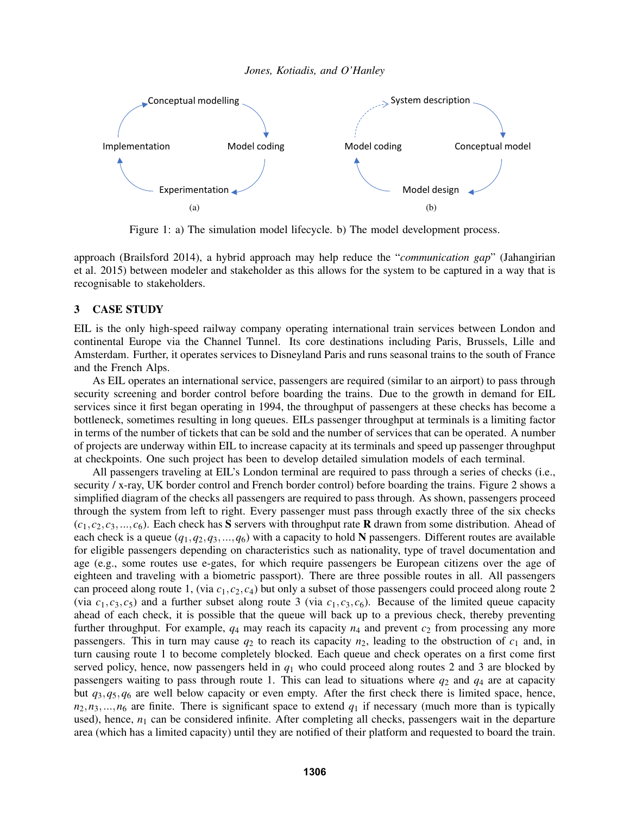<span id="page-2-1"></span>

Figure 1: a) The simulation model lifecycle. b) The model development process.

approach [\(Brailsford 2014\)](#page-9-8), a hybrid approach may help reduce the "*communication gap*" [\(Jahangirian](#page-10-5) [et al. 2015\)](#page-10-5) between modeler and stakeholder as this allows for the system to be captured in a way that is recognisable to stakeholders.

#### <span id="page-2-0"></span>3 CASE STUDY

EIL is the only high-speed railway company operating international train services between London and continental Europe via the Channel Tunnel. Its core destinations including Paris, Brussels, Lille and Amsterdam. Further, it operates services to Disneyland Paris and runs seasonal trains to the south of France and the French Alps.

As EIL operates an international service, passengers are required (similar to an airport) to pass through security screening and border control before boarding the trains. Due to the growth in demand for EIL services since it first began operating in 1994, the throughput of passengers at these checks has become a bottleneck, sometimes resulting in long queues. EILs passenger throughput at terminals is a limiting factor in terms of the number of tickets that can be sold and the number of services that can be operated. A number of projects are underway within EIL to increase capacity at its terminals and speed up passenger throughput at checkpoints. One such project has been to develop detailed simulation models of each terminal.

All passengers traveling at EIL's London terminal are required to pass through a series of checks (i.e., security / x-ray, UK border control and French border control) before boarding the trains. Figure [2](#page-3-0) shows a simplified diagram of the checks all passengers are required to pass through. As shown, passengers proceed through the system from left to right. Every passenger must pass through exactly three of the six checks  $(c_1, c_2, c_3, \ldots, c_6)$ . Each check has S servers with throughput rate R drawn from some distribution. Ahead of each check is a queue  $(q_1, q_2, q_3, ..., q_6)$  with a capacity to hold N passengers. Different routes are available for eligible passengers depending on characteristics such as nationality, type of travel documentation and age (e.g., some routes use e-gates, for which require passengers be European citizens over the age of eighteen and traveling with a biometric passport). There are three possible routes in all. All passengers can proceed along route 1, (via  $c_1$ ,  $c_2$ ,  $c_4$ ) but only a subset of those passengers could proceed along route 2 (via  $c_1, c_3, c_5$ ) and a further subset along route 3 (via  $c_1, c_3, c_6$ ). Because of the limited queue capacity ahead of each check, it is possible that the queue will back up to a previous check, thereby preventing further throughput. For example,  $q_4$  may reach its capacity  $n_4$  and prevent  $c_2$  from processing any more passengers. This in turn may cause  $q_2$  to reach its capacity  $n_2$ , leading to the obstruction of  $c_1$  and, in turn causing route 1 to become completely blocked. Each queue and check operates on a first come first served policy, hence, now passengers held in *q*<sup>1</sup> who could proceed along routes 2 and 3 are blocked by passengers waiting to pass through route 1. This can lead to situations where  $q_2$  and  $q_4$  are at capacity but *q*3,*q*5,*q*<sup>6</sup> are well below capacity or even empty. After the first check there is limited space, hence,  $n_2, n_3, \ldots, n_6$  are finite. There is significant space to extend  $q_1$  if necessary (much more than is typically used), hence,  $n_1$  can be considered infinite. After completing all checks, passengers wait in the departure area (which has a limited capacity) until they are notified of their platform and requested to board the train.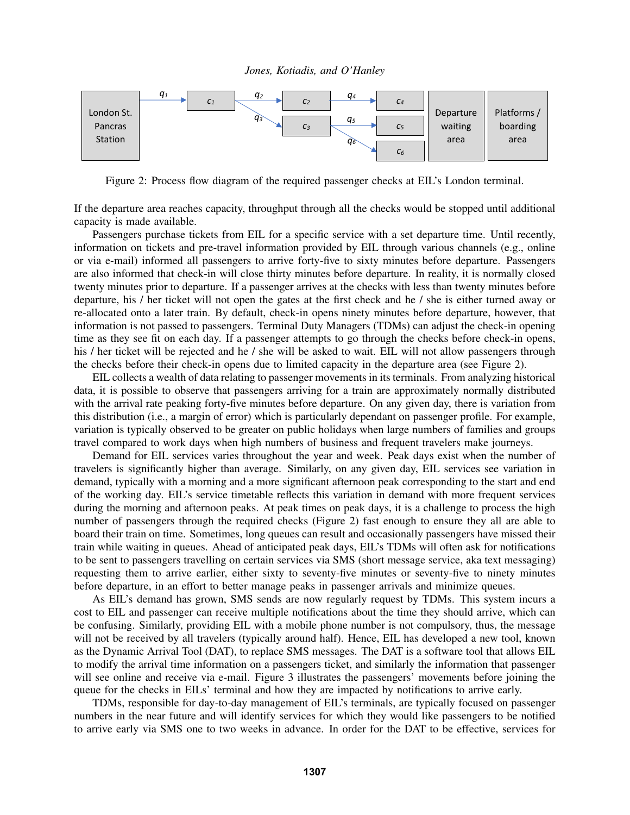<span id="page-3-0"></span>

Figure 2: Process flow diagram of the required passenger checks at EIL's London terminal.

If the departure area reaches capacity, throughput through all the checks would be stopped until additional capacity is made available.

Passengers purchase tickets from EIL for a specific service with a set departure time. Until recently, information on tickets and pre-travel information provided by EIL through various channels (e.g., online or via e-mail) informed all passengers to arrive forty-five to sixty minutes before departure. Passengers are also informed that check-in will close thirty minutes before departure. In reality, it is normally closed twenty minutes prior to departure. If a passenger arrives at the checks with less than twenty minutes before departure, his / her ticket will not open the gates at the first check and he / she is either turned away or re-allocated onto a later train. By default, check-in opens ninety minutes before departure, however, that information is not passed to passengers. Terminal Duty Managers (TDMs) can adjust the check-in opening time as they see fit on each day. If a passenger attempts to go through the checks before check-in opens, his / her ticket will be rejected and he / she will be asked to wait. EIL will not allow passengers through the checks before their check-in opens due to limited capacity in the departure area (see Figure [2\)](#page-3-0).

EIL collects a wealth of data relating to passenger movements in its terminals. From analyzing historical data, it is possible to observe that passengers arriving for a train are approximately normally distributed with the arrival rate peaking forty-five minutes before departure. On any given day, there is variation from this distribution (i.e., a margin of error) which is particularly dependant on passenger profile. For example, variation is typically observed to be greater on public holidays when large numbers of families and groups travel compared to work days when high numbers of business and frequent travelers make journeys.

Demand for EIL services varies throughout the year and week. Peak days exist when the number of travelers is significantly higher than average. Similarly, on any given day, EIL services see variation in demand, typically with a morning and a more significant afternoon peak corresponding to the start and end of the working day. EIL's service timetable reflects this variation in demand with more frequent services during the morning and afternoon peaks. At peak times on peak days, it is a challenge to process the high number of passengers through the required checks (Figure [2\)](#page-3-0) fast enough to ensure they all are able to board their train on time. Sometimes, long queues can result and occasionally passengers have missed their train while waiting in queues. Ahead of anticipated peak days, EIL's TDMs will often ask for notifications to be sent to passengers travelling on certain services via SMS (short message service, aka text messaging) requesting them to arrive earlier, either sixty to seventy-five minutes or seventy-five to ninety minutes before departure, in an effort to better manage peaks in passenger arrivals and minimize queues.

As EIL's demand has grown, SMS sends are now regularly request by TDMs. This system incurs a cost to EIL and passenger can receive multiple notifications about the time they should arrive, which can be confusing. Similarly, providing EIL with a mobile phone number is not compulsory, thus, the message will not be received by all travelers (typically around half). Hence, EIL has developed a new tool, known as the Dynamic Arrival Tool (DAT), to replace SMS messages. The DAT is a software tool that allows EIL to modify the arrival time information on a passengers ticket, and similarly the information that passenger will see online and receive via e-mail. Figure [3](#page-4-1) illustrates the passengers' movements before joining the queue for the checks in EILs' terminal and how they are impacted by notifications to arrive early.

TDMs, responsible for day-to-day management of EIL's terminals, are typically focused on passenger numbers in the near future and will identify services for which they would like passengers to be notified to arrive early via SMS one to two weeks in advance. In order for the DAT to be effective, services for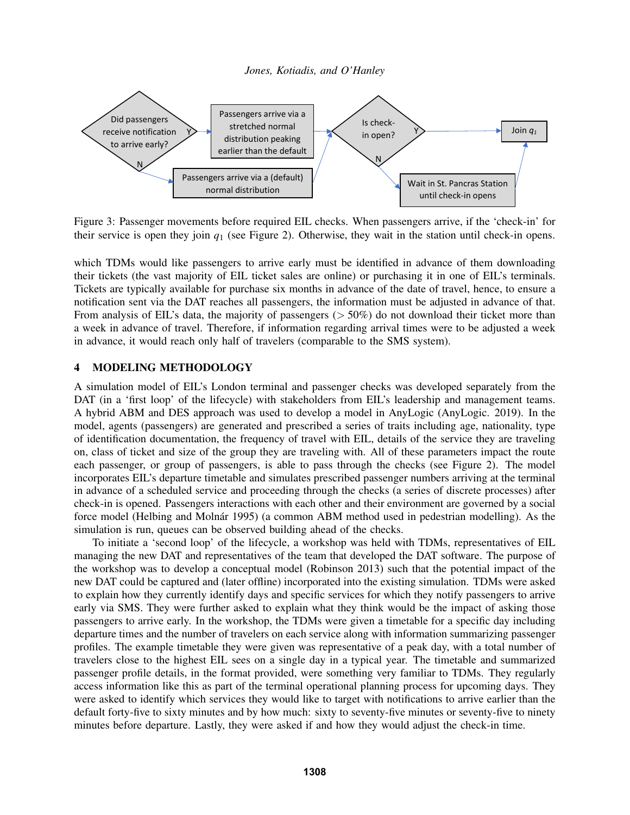<span id="page-4-1"></span>

Figure 3: Passenger movements before required EIL checks. When passengers arrive, if the 'check-in' for their service is open they join  $q_1$  (see Figure [2\)](#page-3-0). Otherwise, they wait in the station until check-in opens.

which TDMs would like passengers to arrive early must be identified in advance of them downloading their tickets (the vast majority of EIL ticket sales are online) or purchasing it in one of EIL's terminals. Tickets are typically available for purchase six months in advance of the date of travel, hence, to ensure a notification sent via the DAT reaches all passengers, the information must be adjusted in advance of that. From analysis of EIL's data, the majority of passengers ( $> 50\%$ ) do not download their ticket more than a week in advance of travel. Therefore, if information regarding arrival times were to be adjusted a week in advance, it would reach only half of travelers (comparable to the SMS system).

# <span id="page-4-0"></span>4 MODELING METHODOLOGY

A simulation model of EIL's London terminal and passenger checks was developed separately from the DAT (in a 'first loop' of the lifecycle) with stakeholders from EIL's leadership and management teams. A hybrid ABM and DES approach was used to develop a model in AnyLogic [\(AnyLogic. 2019\)](#page-9-9). In the model, agents (passengers) are generated and prescribed a series of traits including age, nationality, type of identification documentation, the frequency of travel with EIL, details of the service they are traveling on, class of ticket and size of the group they are traveling with. All of these parameters impact the route each passenger, or group of passengers, is able to pass through the checks (see Figure [2\)](#page-3-0). The model incorporates EIL's departure timetable and simulates prescribed passenger numbers arriving at the terminal in advance of a scheduled service and proceeding through the checks (a series of discrete processes) after check-in is opened. Passengers interactions with each other and their environment are governed by a social force model (Helbing and Molnár 1995) (a common ABM method used in pedestrian modelling). As the simulation is run, queues can be observed building ahead of the checks.

To initiate a 'second loop' of the lifecycle, a workshop was held with TDMs, representatives of EIL managing the new DAT and representatives of the team that developed the DAT software. The purpose of the workshop was to develop a conceptual model [\(Robinson 2013\)](#page-10-0) such that the potential impact of the new DAT could be captured and (later offline) incorporated into the existing simulation. TDMs were asked to explain how they currently identify days and specific services for which they notify passengers to arrive early via SMS. They were further asked to explain what they think would be the impact of asking those passengers to arrive early. In the workshop, the TDMs were given a timetable for a specific day including departure times and the number of travelers on each service along with information summarizing passenger profiles. The example timetable they were given was representative of a peak day, with a total number of travelers close to the highest EIL sees on a single day in a typical year. The timetable and summarized passenger profile details, in the format provided, were something very familiar to TDMs. They regularly access information like this as part of the terminal operational planning process for upcoming days. They were asked to identify which services they would like to target with notifications to arrive earlier than the default forty-five to sixty minutes and by how much: sixty to seventy-five minutes or seventy-five to ninety minutes before departure. Lastly, they were asked if and how they would adjust the check-in time.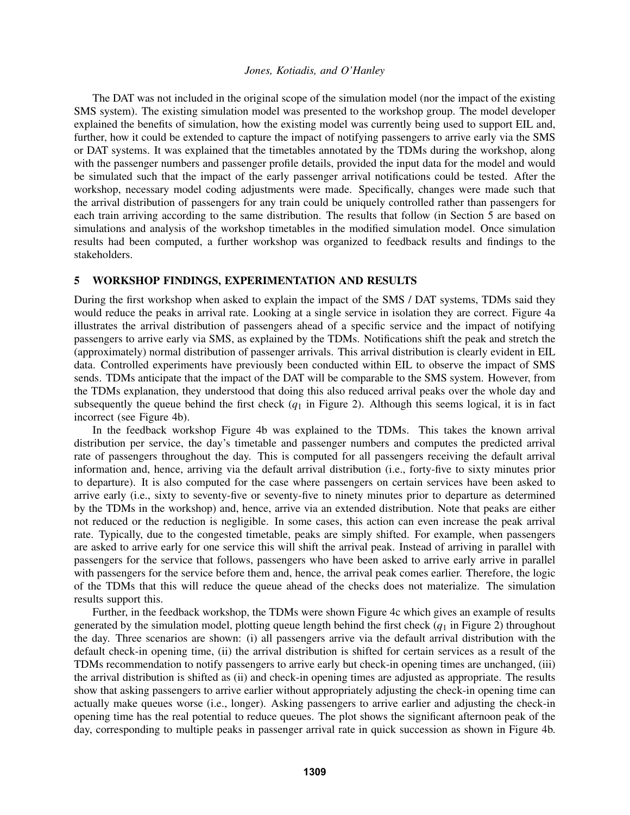The DAT was not included in the original scope of the simulation model (nor the impact of the existing SMS system). The existing simulation model was presented to the workshop group. The model developer explained the benefits of simulation, how the existing model was currently being used to support EIL and, further, how it could be extended to capture the impact of notifying passengers to arrive early via the SMS or DAT systems. It was explained that the timetables annotated by the TDMs during the workshop, along with the passenger numbers and passenger profile details, provided the input data for the model and would be simulated such that the impact of the early passenger arrival notifications could be tested. After the workshop, necessary model coding adjustments were made. Specifically, changes were made such that the arrival distribution of passengers for any train could be uniquely controlled rather than passengers for each train arriving according to the same distribution. The results that follow (in Section [5](#page-5-0) are based on simulations and analysis of the workshop timetables in the modified simulation model. Once simulation results had been computed, a further workshop was organized to feedback results and findings to the stakeholders.

## <span id="page-5-0"></span>5 WORKSHOP FINDINGS, EXPERIMENTATION AND RESULTS

During the first workshop when asked to explain the impact of the SMS / DAT systems, TDMs said they would reduce the peaks in arrival rate. Looking at a single service in isolation they are correct. Figure [4a](#page-6-0) illustrates the arrival distribution of passengers ahead of a specific service and the impact of notifying passengers to arrive early via SMS, as explained by the TDMs. Notifications shift the peak and stretch the (approximately) normal distribution of passenger arrivals. This arrival distribution is clearly evident in EIL data. Controlled experiments have previously been conducted within EIL to observe the impact of SMS sends. TDMs anticipate that the impact of the DAT will be comparable to the SMS system. However, from the TDMs explanation, they understood that doing this also reduced arrival peaks over the whole day and subsequently the queue behind the first check  $(q_1$  in Figure [2\)](#page-3-0). Although this seems logical, it is in fact incorrect (see Figure [4b](#page-6-0)).

In the feedback workshop Figure [4b](#page-6-0) was explained to the TDMs. This takes the known arrival distribution per service, the day's timetable and passenger numbers and computes the predicted arrival rate of passengers throughout the day. This is computed for all passengers receiving the default arrival information and, hence, arriving via the default arrival distribution (i.e., forty-five to sixty minutes prior to departure). It is also computed for the case where passengers on certain services have been asked to arrive early (i.e., sixty to seventy-five or seventy-five to ninety minutes prior to departure as determined by the TDMs in the workshop) and, hence, arrive via an extended distribution. Note that peaks are either not reduced or the reduction is negligible. In some cases, this action can even increase the peak arrival rate. Typically, due to the congested timetable, peaks are simply shifted. For example, when passengers are asked to arrive early for one service this will shift the arrival peak. Instead of arriving in parallel with passengers for the service that follows, passengers who have been asked to arrive early arrive in parallel with passengers for the service before them and, hence, the arrival peak comes earlier. Therefore, the logic of the TDMs that this will reduce the queue ahead of the checks does not materialize. The simulation results support this.

Further, in the feedback workshop, the TDMs were shown Figure [4c](#page-6-0) which gives an example of results generated by the simulation model, plotting queue length behind the first check (*q*<sup>1</sup> in Figure [2\)](#page-3-0) throughout the day. Three scenarios are shown: (i) all passengers arrive via the default arrival distribution with the default check-in opening time, (ii) the arrival distribution is shifted for certain services as a result of the TDMs recommendation to notify passengers to arrive early but check-in opening times are unchanged, (iii) the arrival distribution is shifted as (ii) and check-in opening times are adjusted as appropriate. The results show that asking passengers to arrive earlier without appropriately adjusting the check-in opening time can actually make queues worse (i.e., longer). Asking passengers to arrive earlier and adjusting the check-in opening time has the real potential to reduce queues. The plot shows the significant afternoon peak of the day, corresponding to multiple peaks in passenger arrival rate in quick succession as shown in Figure [4b](#page-6-0).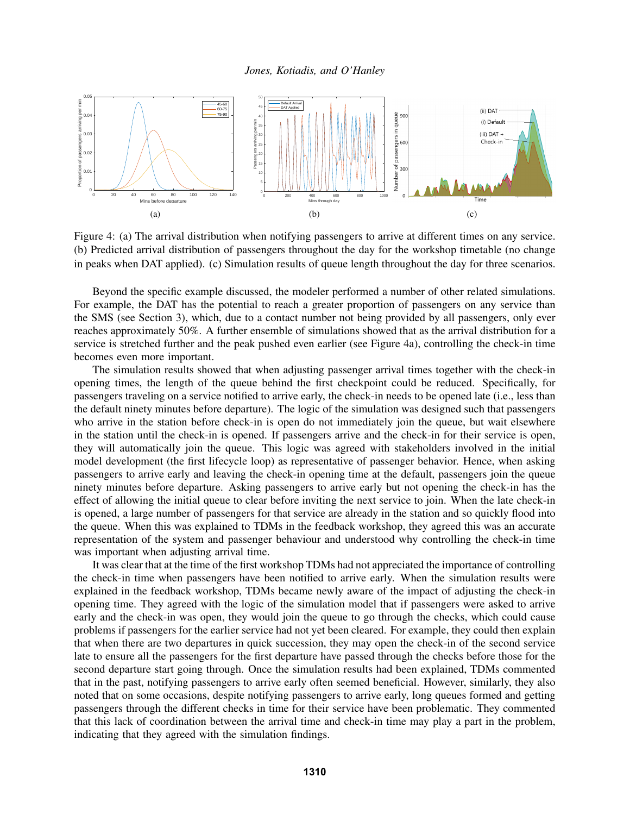<span id="page-6-0"></span>

Figure 4: (a) The arrival distribution when notifying passengers to arrive at different times on any service. (b) Predicted arrival distribution of passengers throughout the day for the workshop timetable (no change in peaks when DAT applied). (c) Simulation results of queue length throughout the day for three scenarios.

Beyond the specific example discussed, the modeler performed a number of other related simulations. For example, the DAT has the potential to reach a greater proportion of passengers on any service than the SMS (see Section [3\)](#page-2-0), which, due to a contact number not being provided by all passengers, only ever reaches approximately 50%. A further ensemble of simulations showed that as the arrival distribution for a service is stretched further and the peak pushed even earlier (see Figure [4a](#page-6-0)), controlling the check-in time becomes even more important.

The simulation results showed that when adjusting passenger arrival times together with the check-in opening times, the length of the queue behind the first checkpoint could be reduced. Specifically, for passengers traveling on a service notified to arrive early, the check-in needs to be opened late (i.e., less than the default ninety minutes before departure). The logic of the simulation was designed such that passengers who arrive in the station before check-in is open do not immediately join the queue, but wait elsewhere in the station until the check-in is opened. If passengers arrive and the check-in for their service is open, they will automatically join the queue. This logic was agreed with stakeholders involved in the initial model development (the first lifecycle loop) as representative of passenger behavior. Hence, when asking passengers to arrive early and leaving the check-in opening time at the default, passengers join the queue ninety minutes before departure. Asking passengers to arrive early but not opening the check-in has the effect of allowing the initial queue to clear before inviting the next service to join. When the late check-in is opened, a large number of passengers for that service are already in the station and so quickly flood into the queue. When this was explained to TDMs in the feedback workshop, they agreed this was an accurate representation of the system and passenger behaviour and understood why controlling the check-in time was important when adjusting arrival time.

It was clear that at the time of the first workshop TDMs had not appreciated the importance of controlling the check-in time when passengers have been notified to arrive early. When the simulation results were explained in the feedback workshop, TDMs became newly aware of the impact of adjusting the check-in opening time. They agreed with the logic of the simulation model that if passengers were asked to arrive early and the check-in was open, they would join the queue to go through the checks, which could cause problems if passengers for the earlier service had not yet been cleared. For example, they could then explain that when there are two departures in quick succession, they may open the check-in of the second service late to ensure all the passengers for the first departure have passed through the checks before those for the second departure start going through. Once the simulation results had been explained, TDMs commented that in the past, notifying passengers to arrive early often seemed beneficial. However, similarly, they also noted that on some occasions, despite notifying passengers to arrive early, long queues formed and getting passengers through the different checks in time for their service have been problematic. They commented that this lack of coordination between the arrival time and check-in time may play a part in the problem, indicating that they agreed with the simulation findings.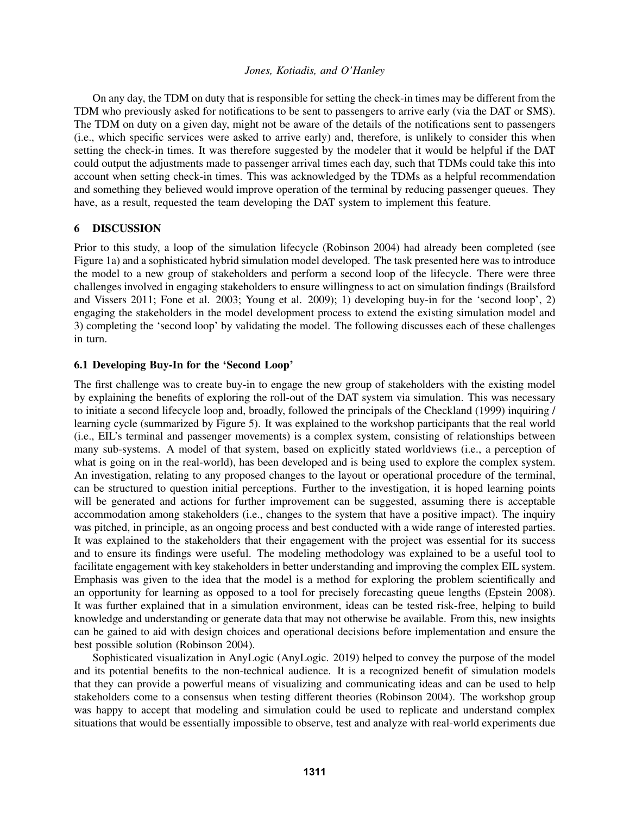On any day, the TDM on duty that is responsible for setting the check-in times may be different from the TDM who previously asked for notifications to be sent to passengers to arrive early (via the DAT or SMS). The TDM on duty on a given day, might not be aware of the details of the notifications sent to passengers (i.e., which specific services were asked to arrive early) and, therefore, is unlikely to consider this when setting the check-in times. It was therefore suggested by the modeler that it would be helpful if the DAT could output the adjustments made to passenger arrival times each day, such that TDMs could take this into account when setting check-in times. This was acknowledged by the TDMs as a helpful recommendation and something they believed would improve operation of the terminal by reducing passenger queues. They have, as a result, requested the team developing the DAT system to implement this feature.

## <span id="page-7-0"></span>6 DISCUSSION

Prior to this study, a loop of the simulation lifecycle [\(Robinson 2004\)](#page-10-2) had already been completed (see Figure [1a](#page-2-1)) and a sophisticated hybrid simulation model developed. The task presented here was to introduce the model to a new group of stakeholders and perform a second loop of the lifecycle. There were three challenges involved in engaging stakeholders to ensure willingness to act on simulation findings [\(Brailsford](#page-9-6) [and Vissers 2011;](#page-9-6) [Fone et al. 2003;](#page-10-12) [Young et al. 2009\)](#page-10-17); 1) developing buy-in for the 'second loop', 2) engaging the stakeholders in the model development process to extend the existing simulation model and 3) completing the 'second loop' by validating the model. The following discusses each of these challenges in turn.

### 6.1 Developing Buy-In for the 'Second Loop'

The first challenge was to create buy-in to engage the new group of stakeholders with the existing model by explaining the benefits of exploring the roll-out of the DAT system via simulation. This was necessary to initiate a second lifecycle loop and, broadly, followed the principals of the [Checkland \(1999\)](#page-9-10) inquiring / learning cycle (summarized by Figure [5\)](#page-8-0). It was explained to the workshop participants that the real world (i.e., EIL's terminal and passenger movements) is a complex system, consisting of relationships between many sub-systems. A model of that system, based on explicitly stated worldviews (i.e., a perception of what is going on in the real-world), has been developed and is being used to explore the complex system. An investigation, relating to any proposed changes to the layout or operational procedure of the terminal, can be structured to question initial perceptions. Further to the investigation, it is hoped learning points will be generated and actions for further improvement can be suggested, assuming there is acceptable accommodation among stakeholders (i.e., changes to the system that have a positive impact). The inquiry was pitched, in principle, as an ongoing process and best conducted with a wide range of interested parties. It was explained to the stakeholders that their engagement with the project was essential for its success and to ensure its findings were useful. The modeling methodology was explained to be a useful tool to facilitate engagement with key stakeholders in better understanding and improving the complex EIL system. Emphasis was given to the idea that the model is a method for exploring the problem scientifically and an opportunity for learning as opposed to a tool for precisely forecasting queue lengths [\(Epstein 2008\)](#page-9-11). It was further explained that in a simulation environment, ideas can be tested risk-free, helping to build knowledge and understanding or generate data that may not otherwise be available. From this, new insights can be gained to aid with design choices and operational decisions before implementation and ensure the best possible solution [\(Robinson 2004\)](#page-10-2).

Sophisticated visualization in AnyLogic [\(AnyLogic. 2019\)](#page-9-9) helped to convey the purpose of the model and its potential benefits to the non-technical audience. It is a recognized benefit of simulation models that they can provide a powerful means of visualizing and communicating ideas and can be used to help stakeholders come to a consensus when testing different theories [\(Robinson 2004\)](#page-10-2). The workshop group was happy to accept that modeling and simulation could be used to replicate and understand complex situations that would be essentially impossible to observe, test and analyze with real-world experiments due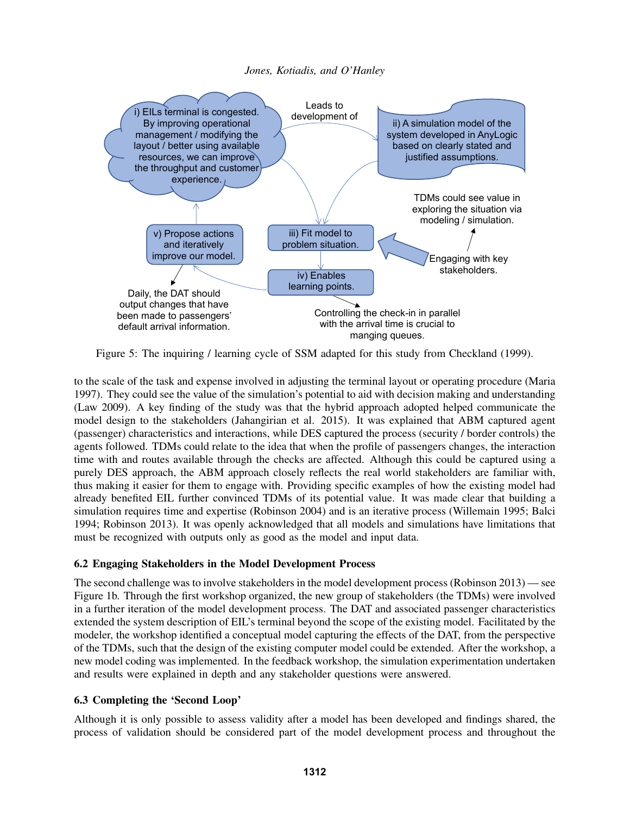<span id="page-8-0"></span>

Figure 5: The inquiring / learning cycle of SSM adapted for this study from [Checkland \(1999\).](#page-9-10)

to the scale of the task and expense involved in adjusting the terminal layout or operating procedure [\(Maria](#page-10-22) [1997\)](#page-10-22). They could see the value of the simulation's potential to aid with decision making and understanding [\(Law 2009\)](#page-10-23). A key finding of the study was that the hybrid approach adopted helped communicate the model design to the stakeholders [\(Jahangirian et al. 2015\)](#page-10-5). It was explained that ABM captured agent (passenger) characteristics and interactions, while DES captured the process (security / border controls) the agents followed. TDMs could relate to the idea that when the profile of passengers changes, the interaction time with and routes available through the checks are affected. Although this could be captured using a purely DES approach, the ABM approach closely reflects the real world stakeholders are familiar with, thus making it easier for them to engage with. Providing specific examples of how the existing model had already benefited EIL further convinced TDMs of its potential value. It was made clear that building a simulation requires time and expertise [\(Robinson 2004\)](#page-10-2) and is an iterative process [\(Willemain 1995;](#page-10-1) [Balci](#page-9-0) [1994;](#page-9-0) [Robinson 2013\)](#page-10-0). It was openly acknowledged that all models and simulations have limitations that must be recognized with outputs only as good as the model and input data.

# 6.2 Engaging Stakeholders in the Model Development Process

The second challenge was to involve stakeholders in the model development process [\(Robinson 2013\)](#page-10-0) — see Figure [1b](#page-2-1). Through the first workshop organized, the new group of stakeholders (the TDMs) were involved in a further iteration of the model development process. The DAT and associated passenger characteristics extended the system description of EIL's terminal beyond the scope of the existing model. Facilitated by the modeler, the workshop identified a conceptual model capturing the effects of the DAT, from the perspective of the TDMs, such that the design of the existing computer model could be extended. After the workshop, a new model coding was implemented. In the feedback workshop, the simulation experimentation undertaken and results were explained in depth and any stakeholder questions were answered.

# 6.3 Completing the 'Second Loop'

Although it is only possible to assess validity after a model has been developed and findings shared, the process of validation should be considered part of the model development process and throughout the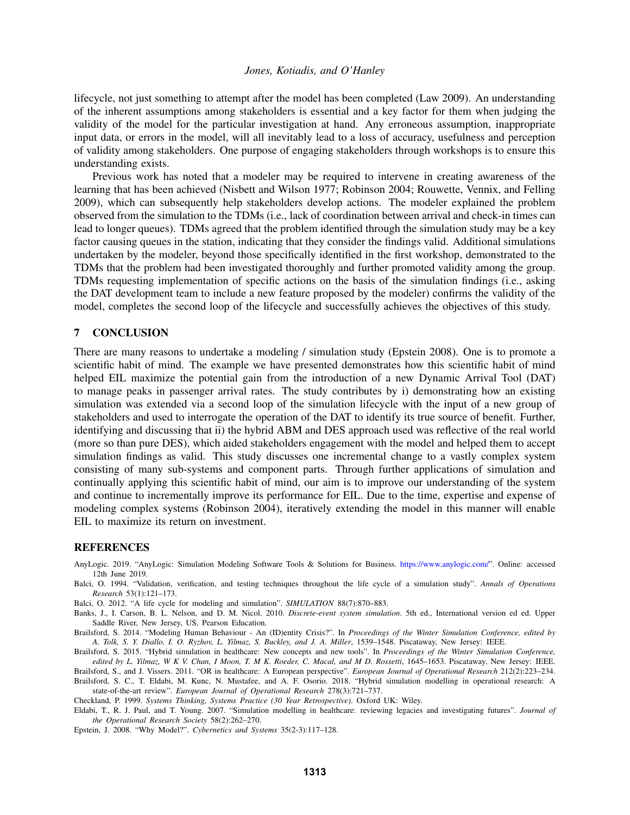lifecycle, not just something to attempt after the model has been completed [\(Law 2009\)](#page-10-23). An understanding of the inherent assumptions among stakeholders is essential and a key factor for them when judging the validity of the model for the particular investigation at hand. Any erroneous assumption, inappropriate input data, or errors in the model, will all inevitably lead to a loss of accuracy, usefulness and perception of validity among stakeholders. One purpose of engaging stakeholders through workshops is to ensure this understanding exists.

Previous work has noted that a modeler may be required to intervene in creating awareness of the learning that has been achieved [\(Nisbett and Wilson 1977;](#page-10-24) [Robinson 2004;](#page-10-2) [Rouwette, Vennix, and Felling](#page-10-25) [2009\)](#page-10-25), which can subsequently help stakeholders develop actions. The modeler explained the problem observed from the simulation to the TDMs (i.e., lack of coordination between arrival and check-in times can lead to longer queues). TDMs agreed that the problem identified through the simulation study may be a key factor causing queues in the station, indicating that they consider the findings valid. Additional simulations undertaken by the modeler, beyond those specifically identified in the first workshop, demonstrated to the TDMs that the problem had been investigated thoroughly and further promoted validity among the group. TDMs requesting implementation of specific actions on the basis of the simulation findings (i.e., asking the DAT development team to include a new feature proposed by the modeler) confirms the validity of the model, completes the second loop of the lifecycle and successfully achieves the objectives of this study.

#### <span id="page-9-2"></span>7 CONCLUSION

There are many reasons to undertake a modeling / simulation study [\(Epstein 2008\)](#page-9-11). One is to promote a scientific habit of mind. The example we have presented demonstrates how this scientific habit of mind helped EIL maximize the potential gain from the introduction of a new Dynamic Arrival Tool (DAT) to manage peaks in passenger arrival rates. The study contributes by i) demonstrating how an existing simulation was extended via a second loop of the simulation lifecycle with the input of a new group of stakeholders and used to interrogate the operation of the DAT to identify its true source of benefit. Further, identifying and discussing that ii) the hybrid ABM and DES approach used was reflective of the real world (more so than pure DES), which aided stakeholders engagement with the model and helped them to accept simulation findings as valid. This study discusses one incremental change to a vastly complex system consisting of many sub-systems and component parts. Through further applications of simulation and continually applying this scientific habit of mind, our aim is to improve our understanding of the system and continue to incrementally improve its performance for EIL. Due to the time, expertise and expense of modeling complex systems [\(Robinson 2004\)](#page-10-2), iteratively extending the model in this manner will enable EIL to maximize its return on investment.

#### REFERENCES

- <span id="page-9-9"></span>AnyLogic. 2019. "AnyLogic: Simulation Modeling Software Tools & Solutions for Business. [https://www.anylogic.com/"](https://www.anylogic.com/). Online: accessed 12th June 2019.
- <span id="page-9-0"></span>Balci, O. 1994. "Validation, verification, and testing techniques throughout the life cycle of a simulation study". *Annals of Operations Research* 53(1):121–173.
- <span id="page-9-3"></span>Balci, O. 2012. "A life cycle for modeling and simulation". *SIMULATION* 88(7):870–883.
- <span id="page-9-4"></span>Banks, J., I. Carson, B. L. Nelson, and D. M. Nicol. 2010. *Discrete-event system simulation*. 5th ed., International version ed ed. Upper Saddle River, New Jersey, US, Pearson Education.
- <span id="page-9-8"></span>Brailsford, S. 2014. "Modeling Human Behaviour - An (ID)entity Crisis?". In *Proceedings of the Winter Simulation Conference, edited by A. Tolk, S. Y. Diallo, I. O. Ryzhov, L. Yilmaz, S. Buckley, and J. A. Miller*, 1539–1548. Piscataway, New Jersey: IEEE.
- <span id="page-9-1"></span>Brailsford, S. 2015. "Hybrid simulation in healthcare: New concepts and new tools". In *Proceedings of the Winter Simulation Conference, edited by L. Yilmaz, W K V. Chan, I Moon, T. M K. Roeder, C. Macal, and M D. Rossetti*, 1645–1653. Piscataway, New Jersey: IEEE.
- <span id="page-9-7"></span><span id="page-9-6"></span>Brailsford, S., and J. Vissers. 2011. "OR in healthcare: A European perspective". *European Journal of Operational Research* 212(2):223–234. Brailsford, S. C., T. Eldabi, M. Kunc, N. Mustafee, and A. F. Osorio. 2018. "Hybrid simulation modelling in operational research: A

state-of-the-art review". *European Journal of Operational Research* 278(3):721–737.

<span id="page-9-10"></span>Checkland, P. 1999. *Systems Thinking, Systems Practice (30 Year Retrospective)*. Oxford UK: Wiley.

- <span id="page-9-5"></span>Eldabi, T., R. J. Paul, and T. Young. 2007. "Simulation modelling in healthcare: reviewing legacies and investigating futures". *Journal of the Operational Research Society* 58(2):262–270.
- <span id="page-9-11"></span>Epstein, J. 2008. "Why Model?". *Cybernetics and Systems* 35(2-3):117–128.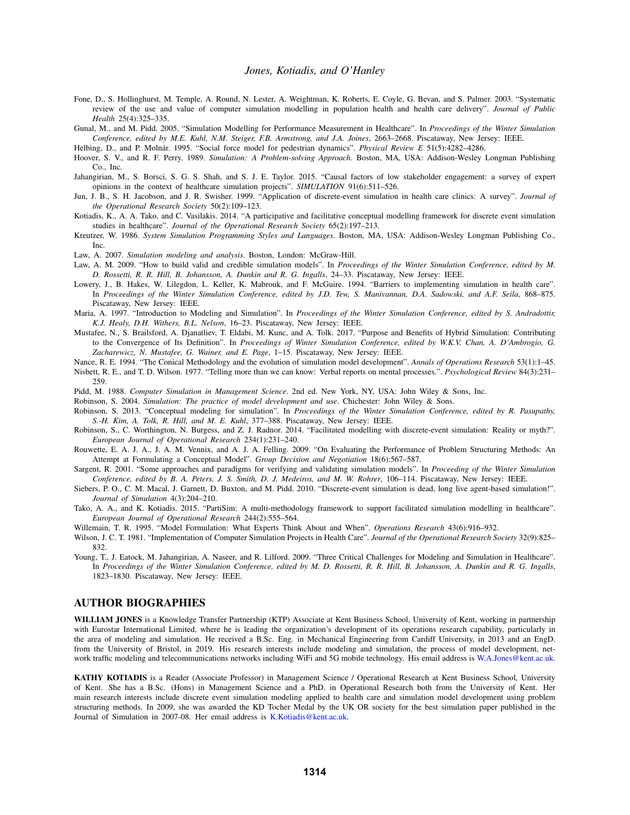- <span id="page-10-12"></span>Fone, D., S. Hollinghurst, M. Temple, A. Round, N. Lester, A. Weightman, K. Roberts, E. Coyle, G. Bevan, and S. Palmer. 2003. "Systematic review of the use and value of computer simulation modelling in population health and health care delivery". *Journal of Public Health* 25(4):325–335.
- <span id="page-10-14"></span>Gunal, M., and M. Pidd. 2005. "Simulation Modelling for Performance Measurement in Healthcare". In *Proceedings of the Winter Simulation Conference, edited by M.E. Kuhl, N.M. Steiger, F.B. Armstrong, and J.A. Joines*, 2663–2668. Piscataway, New Jersey: IEEE.
- <span id="page-10-21"></span>Helbing, D., and P. Molnár. 1995. "Social force model for pedestrian dynamics". *Physical Review E* 51(5):4282-4286.
- <span id="page-10-6"></span>Hoover, S. V., and R. F. Perry. 1989. *Simulation: A Problem-solving Approach*. Boston, MA, USA: Addison-Wesley Longman Publishing Co., Inc.
- <span id="page-10-5"></span>Jahangirian, M., S. Borsci, S. G. S. Shah, and S. J. E. Taylor. 2015. "Causal factors of low stakeholder engagement: a survey of expert opinions in the context of healthcare simulation projects". *SIMULATION* 91(6):511–526.
- <span id="page-10-13"></span>Jun, J. B., S. H. Jacobson, and J. R. Swisher. 1999. "Application of discrete-event simulation in health care clinics: A survey". *Journal of the Operational Research Society* 50(2):109–123.
- <span id="page-10-18"></span>Kotiadis, K., A. A. Tako, and C. Vasilakis. 2014. "A participative and facilitative conceptual modelling framework for discrete event simulation studies in healthcare". *Journal of the Operational Research Society* 65(2):197–213.
- <span id="page-10-9"></span>Kreutzer, W. 1986. *System Simulation Programming Styles and Languages*. Boston, MA, USA: Addison-Wesley Longman Publishing Co., Inc.
- <span id="page-10-7"></span>Law, A. 2007. *Simulation modeling and analysis*. Boston, London: McGraw-Hill.
- <span id="page-10-23"></span>Law, A. M. 2009. "How to build valid and credible simulation models". In *Proceedings of the Winter Simulation Conference, edited by M. D. Rossetti, R. R. Hill, B. Johansson, A. Dunkin and R. G. Ingalls*, 24–33. Piscataway, New Jersey: IEEE.
- <span id="page-10-15"></span>Lowery, J., B. Hakes, W. Lilegdon, L. Keller, K. Mabrouk, and F. McGuire. 1994. "Barriers to implementing simulation in health care". In *Proceedings of the Winter Simulation Conference, edited by J.D. Tew, S. Manivannan, D.A. Sadowski, and A.F. Seila*, 868–875. Piscataway, New Jersey: IEEE.
- <span id="page-10-22"></span>Maria, A. 1997. "Introduction to Modeling and Simulation". In *Proceedings of the Winter Simulation Conference, edited by S. Andradottir, K.J. Healy, D.H. Withers, B.L. Nelson*, 16–23. Piscataway, New Jersey: IEEE.
- <span id="page-10-3"></span>Mustafee, N., S. Brailsford, A. Djanatliev, T. Eldabi, M. Kunc, and A. Tolk. 2017. "Purpose and Benefits of Hybrid Simulation: Contributing to the Convergence of Its Definition". In *Proceedings of Winter Simulation Conference, edited by W.K.V. Chan, A. D'Ambrogio, G. Zacharewicz, N. Mustafee, G. Wainer, and E. Page*, 1–15. Piscataway, New Jersey: IEEE.
- <span id="page-10-8"></span>Nance, R. E. 1994. "The Conical Methodology and the evolution of simulation model development". *Annals of Operations Research* 53(1):1–45.
- <span id="page-10-24"></span>Nisbett, R. E., and T. D. Wilson. 1977. "Telling more than we can know: Verbal reports on mental processes.". *Psychological Review* 84(3):231– 259.
- <span id="page-10-10"></span>Pidd, M. 1988. *Computer Simulation in Management Science*. 2nd ed. New York, NY, USA: John Wiley & Sons, Inc.
- <span id="page-10-2"></span>Robinson, S. 2004. *Simulation: The practice of model development and use*. Chichester: John Wiley & Sons.
- <span id="page-10-0"></span>Robinson, S. 2013. "Conceptual modeling for simulation". In *Proceedings of the Winter Simulation Conference, edited by R. Pasupathy, S.-H. Kim, A. Tolk, R. Hill, and M. E. Kuhl*, 377–388. Piscataway, New Jersey: IEEE.
- <span id="page-10-4"></span>Robinson, S., C. Worthington, N. Burgess, and Z. J. Radnor. 2014. "Facilitated modelling with discrete-event simulation: Reality or myth?". *European Journal of Operational Research* 234(1):231–240.
- <span id="page-10-25"></span>Rouwette, E. A. J. A., J. A. M. Vennix, and A. J. A. Felling. 2009. "On Evaluating the Performance of Problem Structuring Methods: An Attempt at Formulating a Conceptual Model". *Group Decision and Negotiation* 18(6):567–587.
- <span id="page-10-11"></span>Sargent, R. 2001. "Some approaches and paradigms for verifying and validating simulation models". In *Proceeding of the Winter Simulation Conference, edited by B. A. Peters, J. S. Smith, D. J. Medeiros, and M. W. Rohrer*, 106–114. Piscataway, New Jersey: IEEE.
- <span id="page-10-20"></span>Siebers, P. O., C. M. Macal, J. Garnett, D. Buxton, and M. Pidd. 2010. "Discrete-event simulation is dead, long live agent-based simulation!". *Journal of Simulation* 4(3):204–210.
- <span id="page-10-19"></span>Tako, A. A., and K. Kotiadis. 2015. "PartiSim: A multi-methodology framework to support facilitated simulation modelling in healthcare". *European Journal of Operational Research* 244(2):555–564.
- <span id="page-10-1"></span>Willemain, T. R. 1995. "Model Formulation: What Experts Think About and When". *Operations Research* 43(6):916–932.
- <span id="page-10-16"></span>Wilson, J. C. T. 1981. "Implementation of Computer Simulation Projects in Health Care". *Journal of the Operational Research Society* 32(9):825– 832.
- <span id="page-10-17"></span>Young, T., J. Eatock, M. Jahangirian, A. Naseer, and R. Lilford. 2009. "Three Critical Challenges for Modeling and Simulation in Healthcare". In *Proceedings of the Winter Simulation Conference, edited by M. D. Rossetti, R. R. Hill, B. Johansson, A. Dunkin and R. G. Ingalls*, 1823–1830. Piscataway, New Jersey: IEEE.

#### AUTHOR BIOGRAPHIES

WILLIAM JONES is a Knowledge Transfer Partnership (KTP) Associate at Kent Business School, University of Kent, working in partnership with Eurostar International Limited, where he is leading the organization's development of its operations research capability, particularly in the area of modeling and simulation. He received a B.Sc. Eng. in Mechanical Engineering from Cardiff University, in 2013 and an EngD. from the University of Bristol, in 2019. His research interests include modeling and simulation, the process of model development, net-work traffic modeling and telecommunications networks including WiFi and 5G mobile technology. His email address is [W.A.Jones@kent.ac.uk.](mailto://W.A.Jones@kent.ac.uk)

KATHY KOTIADIS is a Reader (Associate Professor) in Management Science / Operational Research at Kent Business School, University of Kent. She has a B.Sc. (Hons) in Management Science and a PhD. in Operational Research both from the University of Kent. Her main research interests include discrete event simulation modeling applied to health care and simulation model development using problem structuring methods. In 2009, she was awarded the KD Tocher Medal by the UK OR society for the best simulation paper published in the Journal of Simulation in 2007-08. Her email address is [K.Kotiadis@kent.ac.uk.](mailto://K.Kotiadis@kent.ac.uk)